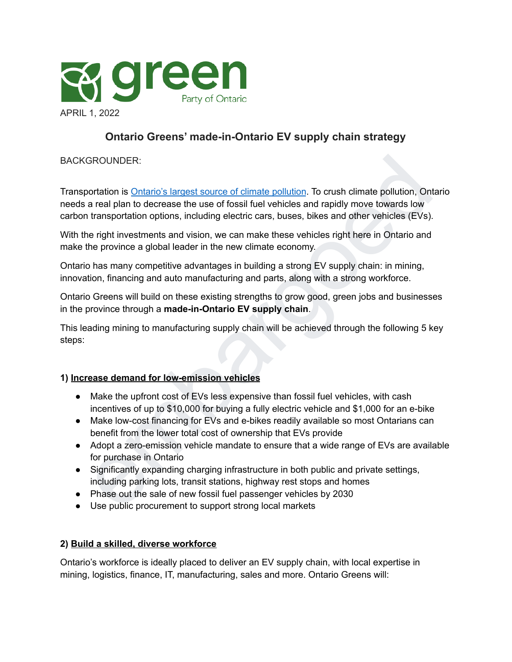

# **Ontario Greens' made-in-Ontario EV supply chain strategy**

### BACKGROUNDER:

SROUNDER:<br>
Since of climate set of climate pollution. To crush climate pollution, Ontario<br>
are tal plan to decrease the use of fossil fuel vehicles and rapidly move towards low<br>
transportation options, including electric c Transportation is Ontario's largest source of climate pollution. To crush climate pollution, Ontario needs a real plan to decrease the use of fossil fuel vehicles and rapidly move towards low carbon transportation options, including electric cars, buses, bikes and other vehicles (EVs).

With the right investments and vision, we can make these vehicles right here in Ontario and make the province a global leader in the new climate economy.

Ontario has many competitive advantages in building a strong EV supply chain: in mining, innovation, financing and auto manufacturing and parts, along with a strong workforce.

Ontario Greens will build on these existing strengths to grow good, green jobs and businesses in the province through a **made-in-Ontario EV supply chain**.

This leading mining to manufacturing supply chain will be achieved through the following 5 key steps:

#### **1) Increase demand for low-emission vehicles**

- Make the upfront cost of EVs less expensive than fossil fuel vehicles, with cash incentives of up to \$10,000 for buying a fully electric vehicle and \$1,000 for an e-bike
- Make low-cost financing for EVs and e-bikes readily available so most Ontarians can benefit from the lower total cost of ownership that EVs provide
- Adopt a zero-emission vehicle mandate to ensure that a wide range of EVs are available for purchase in Ontario
- Significantly expanding charging infrastructure in both public and private settings, including parking lots, transit stations, highway rest stops and homes
- Phase out the sale of new fossil fuel passenger vehicles by 2030
- Use public procurement to support strong local markets

### **2) Build a skilled, diverse workforce**

Ontario's workforce is ideally placed to deliver an EV supply chain, with local expertise in mining, logistics, finance, IT, manufacturing, sales and more. Ontario Greens will: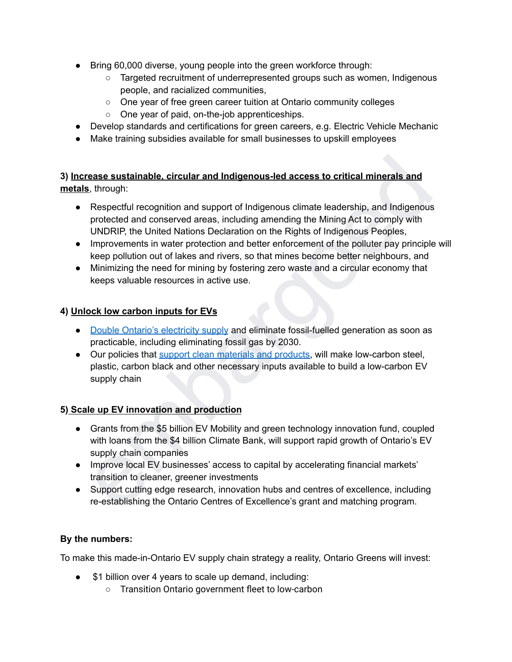- Bring 60,000 diverse, young people into the green workforce through:
	- Targeted recruitment of underrepresented groups such as women, Indigenous people, and racialized communities,
	- One year of free green career tuition at Ontario community colleges
	- One year of paid, on-the-job apprenticeships.
- Develop standards and certifications for green careers, e.g. Electric Vehicle Mechanic
- Make training subsidies available for small businesses to upskill employees

**3) Increase sustainable, circular and Indigenous-led access to critical minerals and metals**, through:

- Respectful recognition and support of Indigenous climate leadership, and Indigenous protected and conserved areas, including amending the Mining Act to comply with UNDRIP, the United Nations Declaration on the Rights of Indigenous Peoples,
- Improvements in water protection and better enforcement of the polluter pay principle will keep pollution out of lakes and rivers, so that mines become better neighbours, and
- Minimizing the need for mining by fostering zero waste and a circular economy that keeps valuable resources in active use.

## **4) Unlock low carbon inputs for EVs**

- Double Ontario's electricity supply and eliminate fossil-fuelled generation as soon as practicable, including eliminating fossil gas by 2030.
- Our policies that support clean materials and products, will make low-carbon steel, plastic, carbon black and other necessary inputs available to build a low-carbon EV supply chain

## **5) Scale up EV innovation and production**

- **ease sustainable, circular and Indigenous-led access to critical minerals and**<br>
t, through:<br>
Respectful recognition and support of Indigenous climate leadership, and Indigenous<br>
protected and conserved areas, including am • Grants from the \$5 billion EV Mobility and green technology innovation fund, coupled with loans from the \$4 billion Climate Bank, will support rapid growth of Ontario's EV supply chain companies
- Improve local EV businesses' access to capital by accelerating financial markets' transition to cleaner, greener investments
- Support cutting edge research, innovation hubs and centres of excellence, including re-establishing the Ontario Centres of Excellence's grant and matching program.

## **By the numbers:**

To make this made-in-Ontario EV supply chain strategy a reality, Ontario Greens will invest:

- \$1 billion over 4 years to scale up demand, including:
	- Transition Ontario government fleet to low-carbon